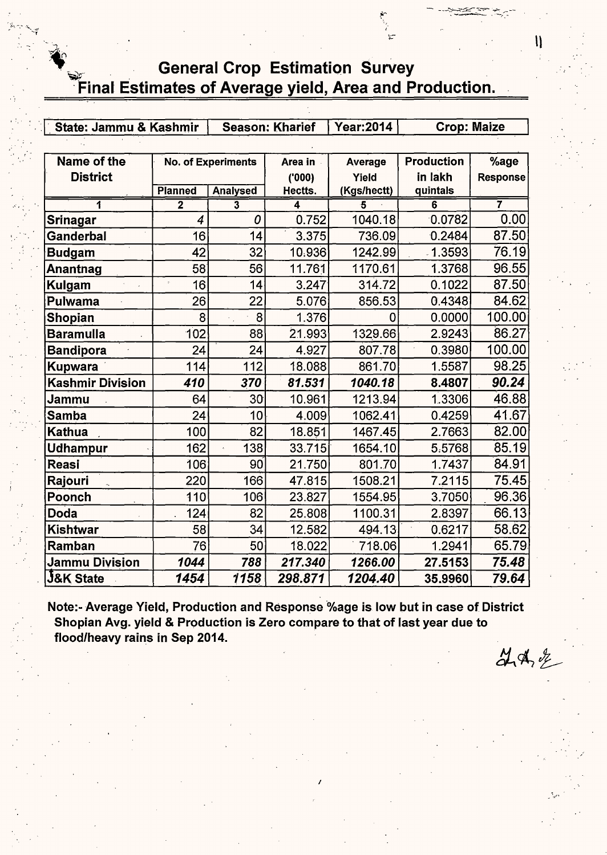## General Crop Estimation Survey Final Estimates of Average yield, Area and Production.

| State: Jammu & Kashmir  |                    |                         | <b>Season: Kharief</b> | <b>Year:2014</b> | <b>Crop: Maize</b> |                 |  |
|-------------------------|--------------------|-------------------------|------------------------|------------------|--------------------|-----------------|--|
|                         |                    |                         |                        |                  |                    |                 |  |
| Name of the             |                    | No. of Experiments      | Area in                | Average          | <b>Production</b>  | %age            |  |
| <b>District</b>         |                    |                         | (000)                  | Yield            | in lakh            | <b>Response</b> |  |
|                         | <b>Planned</b>     | <b>Analysed</b>         | Hectts.                | (Kgs/hectt)      | quintals           |                 |  |
| 1                       | $\overline{2}$     | $\overline{\mathbf{3}}$ | 4<br>0.752             | 5<br>1040.18     | 6<br>0.0782        | 7<br>0.00       |  |
| <b>Srinagar</b>         | $\boldsymbol{4}$   | 0                       |                        |                  |                    |                 |  |
| Ganderbal               | 16                 | 14                      | 3.375                  | 736.09           | 0.2484             | 87.50           |  |
| <b>Budgam</b>           | 42                 | 32                      | 10.936                 | 1242.99          | $-1.3593$          | 76.19           |  |
| Anantnag                | 58                 | 56                      | 11.761                 | 1170.61          | 1.3768             | 96.55           |  |
| Kulgam                  | 16<br>$\ddot{\nu}$ | 14                      | 3.247                  | 314.72           | 0.1022             | 87.50           |  |
| Pulwama                 | 26                 | 22                      | 5.076                  | 856.53           | 0.4348             | 84.62           |  |
| Shopian                 | 8                  | 8                       | 1.376                  |                  | 0.0000             | 100.00          |  |
| <b>Baramulla</b>        | 102                | 88                      | 21.993                 | 1329.66          | 2.9243             | 86.27           |  |
| <b>Bandipora</b>        | 24                 | 24                      | 4.927                  | 807.78           | 0.3980             | 100.00          |  |
| Kupwara                 | 114                | 112                     | 18.088                 | 861.70           | 1.5587             | 98.25           |  |
| <b>Kashmir Division</b> | 410                | 370                     | 81.531                 | 1040.18          | 8.4807             | 90.24           |  |
| Jammu                   | 64                 | 30                      | 10.961                 | 1213.94          | 1.3306             | 46.88           |  |
| <b>Samba</b>            | 24                 | 10                      | 4.009                  | 1062.41          | 0.4259             | 41.67           |  |
| Kathua                  | 100                | 82                      | 18.851                 | 1467.45          | 2.7663             | 82.00           |  |
| Udhampur                | 162                | 138                     | 33.715                 | 1654.10          | 5.5768             | 85.19           |  |
| <b>Reasi</b>            | 106                | 90 <sup>°</sup>         | 21.750                 | 801.70           | 1.7437             | 84.91           |  |
| Rajouri                 | 220                | 166                     | 47.815                 | 1508.21          | 7.2115             | 75.45           |  |
| Poonch                  | 110                | 106                     | 23.827                 | 1554.95          | 3.7050             | 96.36           |  |
| <b>Doda</b>             | 124                | 82                      | 25.808                 | 1100.31          | 2.8397             | 66.13           |  |
| <b>Kishtwar</b>         | 58                 | 34                      | 12.582                 | 494.13           | 0.6217             | 58.62           |  |
| Ramban                  | 76                 | 50                      | 18.022                 | 718.06           | 1.2941             | 65.79           |  |
| <b>Jammu Division</b>   | 1044               | 788                     | 217.340                | 1266.00          | 27.5153            | 75.48           |  |
| <b>J&amp;K</b> State    | 1454               | 1158                    | 298.871                | 1204.40          | 35,9960            | 79.64           |  |

Note:- Average Yield, Production and Response %age is low but in case of District Shopian Avg. yield & Production is Zero compare to that of last year due to flood/heavy rains in Sep 2014.

品中色

₩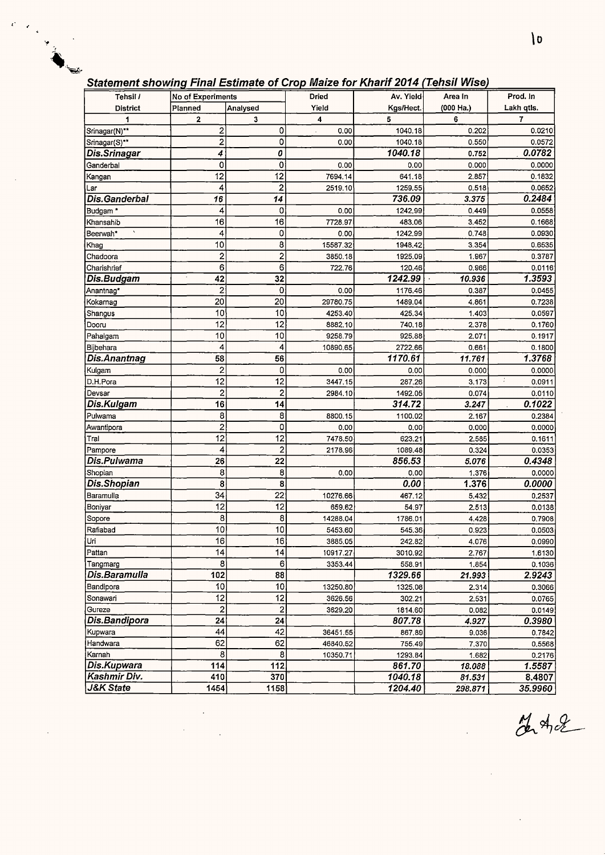# **Statement showina Final Estimate of Croo Maize for Kharif 2014 Tehsi/ Wisel**

| No of Experiments<br>Analysed<br>Yield<br>Kgs/Hect.<br>(000 Ha.)<br>Lakh qtls.<br><b>District</b><br>Planned<br>4<br>5<br>6<br>7<br>3<br>2<br>1<br>Srinagar(N)**<br>2<br>0<br>1040.18<br>0.0210<br>0.00<br>0.202<br>0<br>2<br>1040.18<br>0.550<br>0.00<br>0.0572<br>Srinagar(S)**<br>0<br>1040.18<br>0.0782<br>Dis.Srinagar<br>4<br>0.752<br>0<br>0<br>Ganderbal<br>0.00<br>0.0000<br>0.00<br>0.000<br>$\overline{12}$<br>12<br>7694.14<br>641.18<br>2.857<br>0.1832<br>Kangan<br>$\overline{\mathbf{c}}$<br>4<br>1259.55<br>0.518<br>0.0652<br>2519.10<br>Lar<br>0.2484<br>16<br>736.09<br>Dis.Ganderbal<br>14<br>3.375<br>0<br>0.0558<br>Budgam *<br>4<br>0.00<br>1242.99<br>0.449<br>16<br>16<br>7728.97<br>483.06<br>3.452<br>0.1668<br>Khansahib<br>0<br>Beerwah*<br>4<br>1242,99<br>0.748<br>0.0930<br>0.00<br>8<br>10<br>0.6535<br>15587.32<br>1948.42<br>3.354<br>Khag<br>2<br>$\overline{\mathbf{c}}$<br>Chadoora<br>0.3787<br>3850.18<br>1925.09<br>1.967<br>6<br>6<br>722.76<br>120.46<br>0.966<br>0.0116<br>Charishrief<br>32<br>1242.99<br>1.3593<br>42<br>Dis.Budgam<br>10.936<br>$\overline{2}$<br>0<br>0.00<br>1176.46<br>0.387<br>0.0455<br>Anantnag*<br>20<br>20<br>29780.75<br>0.7238<br>Kokarnag<br>1489.04<br>4.861<br>10<br>10<br>4253.40<br>425.34<br>0.0597<br>1.403<br>Shangus<br>12<br>12<br>0.1760<br>Dooru<br>8882.10<br>740.18<br>2.378<br>10<br>10<br>Pahalgam<br>9258.79<br>925.88<br>2.071<br>0.1917<br>4<br>4<br>2722.66<br>Bijbehara<br>10890.65<br>0.661<br>0.1800<br>$\overline{56}$<br>58<br>1170.61<br>1.3768<br>Dis.Anantnag<br>11.761<br>$\overline{a}$<br>0<br>Kulgam<br>0.00<br>0.00<br>0.0000<br>0.000<br>$\overline{12}$<br>$\overline{12}$<br>÷<br>3447.15<br>D.H.Pora<br>287.26<br>3.173<br>0.0911<br>$\overline{\mathbf{c}}$<br>$\overline{2}$<br>Devsar<br>2984.10<br>1492.05<br>0.074<br>0.0110<br>0.1022<br>16<br>14<br>Dis.Kulgam<br>314.72<br>3.247<br>8<br>8<br>0.2384<br>Pulwama<br>8800.15<br>1100.02<br>2.167<br>2<br>0<br>0.0000<br>0.00<br>0.00<br>0.000<br>Awantipora<br>12<br>12<br>Tral<br>7478.50<br>623.21<br>2.585<br>0.1611<br>$\overline{c}$<br>4<br>Pampore<br>1089.48<br>0.324<br>0.0353<br>2178.96<br>$\overline{22}$<br>26<br>856.53<br>0.4348<br>Dis.Pulwama<br>5.076<br>8<br>8<br>Shopian<br>0.00<br>1.376<br>0.0000<br>0.00<br>0.00<br>1.376<br>8<br>8<br>Dis.Shopian<br>0.0000<br>34<br>22<br>Baramulla<br>10276.66<br>467.12<br>5.432<br>0.2537<br>12<br>12<br>Boniyar<br>659.62<br>54.97<br>2.513<br>0.0138<br>8<br>8<br>14288.04<br>1786.01<br>4.428<br>0.7908<br>Sopore<br>10<br>10<br>Rafiabad<br>5453.60<br>545.36<br>0.923<br>0.0503<br>Uri<br>16<br>16 <br>3885.05<br>242.82<br>4.076<br>0.0990<br>14<br> 4 <br>Pattan<br>10917.27<br>3010.92<br>2.767<br>1.6130<br>8<br>6<br>3353.44<br>558.91<br>1.854<br>0.1036<br>Tangmarg<br>Dis.Baramulla<br>102<br>88<br>1329.66<br>2.9243<br>21.993<br>10<br>10<br>Bandipora<br>13250.80<br>1325.08<br>0.3066<br>2.314<br>12<br>12<br>Sonawari<br>3626.56<br>302.21<br>2.531<br>0.0765<br>$\overline{\mathbf{c}}$<br>$\boldsymbol{2}$<br>Gureze<br>3629.20<br>1814.60<br>0.0149<br>0.082<br>Dis.Bandipora<br>24<br>24<br>807.78<br>4.927<br>0.3980<br>$\overline{44}$<br>42<br>Kupwara<br>36451.55<br>9.036<br>867.89<br>0.7842<br>62<br>62<br>Handwara<br>46840.52<br>755.49<br>7.370<br>0.5568<br>8<br>8<br>Karnah<br>10350.71<br>1293.84<br>1.682<br>0.2176<br>Dis.Kupwara<br>114<br>112<br>861.70<br>1.5587<br>18.088<br>Kashmir Div.<br>410<br>370<br>1040.18<br>8.4807<br>81.531<br>J&K State<br>1454<br>1204.40<br>1158<br>35.9960<br>298.871 | $\alpha$ are then showing that Leannace of Grop make tof thrain Letter (renor fried, |  |       |           |         |          |
|--------------------------------------------------------------------------------------------------------------------------------------------------------------------------------------------------------------------------------------------------------------------------------------------------------------------------------------------------------------------------------------------------------------------------------------------------------------------------------------------------------------------------------------------------------------------------------------------------------------------------------------------------------------------------------------------------------------------------------------------------------------------------------------------------------------------------------------------------------------------------------------------------------------------------------------------------------------------------------------------------------------------------------------------------------------------------------------------------------------------------------------------------------------------------------------------------------------------------------------------------------------------------------------------------------------------------------------------------------------------------------------------------------------------------------------------------------------------------------------------------------------------------------------------------------------------------------------------------------------------------------------------------------------------------------------------------------------------------------------------------------------------------------------------------------------------------------------------------------------------------------------------------------------------------------------------------------------------------------------------------------------------------------------------------------------------------------------------------------------------------------------------------------------------------------------------------------------------------------------------------------------------------------------------------------------------------------------------------------------------------------------------------------------------------------------------------------------------------------------------------------------------------------------------------------------------------------------------------------------------------------------------------------------------------------------------------------------------------------------------------------------------------------------------------------------------------------------------------------------------------------------------------------------------------------------------------------------------------------------------------------------------------------------------------------------------------------------------------------------------------------------------------------------------------------------------------------------------------------------------------------------------------------------------------------------------------------------------------------------------------------------------------------------------------------------------------------------------------------------------------------------------------------------------------------------------------------|--------------------------------------------------------------------------------------|--|-------|-----------|---------|----------|
|                                                                                                                                                                                                                                                                                                                                                                                                                                                                                                                                                                                                                                                                                                                                                                                                                                                                                                                                                                                                                                                                                                                                                                                                                                                                                                                                                                                                                                                                                                                                                                                                                                                                                                                                                                                                                                                                                                                                                                                                                                                                                                                                                                                                                                                                                                                                                                                                                                                                                                                                                                                                                                                                                                                                                                                                                                                                                                                                                                                                                                                                                                                                                                                                                                                                                                                                                                                                                                                                                                                                                                                | Tehsil /                                                                             |  | Dried | Av. Yield | Area In | Prod. In |
|                                                                                                                                                                                                                                                                                                                                                                                                                                                                                                                                                                                                                                                                                                                                                                                                                                                                                                                                                                                                                                                                                                                                                                                                                                                                                                                                                                                                                                                                                                                                                                                                                                                                                                                                                                                                                                                                                                                                                                                                                                                                                                                                                                                                                                                                                                                                                                                                                                                                                                                                                                                                                                                                                                                                                                                                                                                                                                                                                                                                                                                                                                                                                                                                                                                                                                                                                                                                                                                                                                                                                                                |                                                                                      |  |       |           |         |          |
|                                                                                                                                                                                                                                                                                                                                                                                                                                                                                                                                                                                                                                                                                                                                                                                                                                                                                                                                                                                                                                                                                                                                                                                                                                                                                                                                                                                                                                                                                                                                                                                                                                                                                                                                                                                                                                                                                                                                                                                                                                                                                                                                                                                                                                                                                                                                                                                                                                                                                                                                                                                                                                                                                                                                                                                                                                                                                                                                                                                                                                                                                                                                                                                                                                                                                                                                                                                                                                                                                                                                                                                |                                                                                      |  |       |           |         |          |
|                                                                                                                                                                                                                                                                                                                                                                                                                                                                                                                                                                                                                                                                                                                                                                                                                                                                                                                                                                                                                                                                                                                                                                                                                                                                                                                                                                                                                                                                                                                                                                                                                                                                                                                                                                                                                                                                                                                                                                                                                                                                                                                                                                                                                                                                                                                                                                                                                                                                                                                                                                                                                                                                                                                                                                                                                                                                                                                                                                                                                                                                                                                                                                                                                                                                                                                                                                                                                                                                                                                                                                                |                                                                                      |  |       |           |         |          |
|                                                                                                                                                                                                                                                                                                                                                                                                                                                                                                                                                                                                                                                                                                                                                                                                                                                                                                                                                                                                                                                                                                                                                                                                                                                                                                                                                                                                                                                                                                                                                                                                                                                                                                                                                                                                                                                                                                                                                                                                                                                                                                                                                                                                                                                                                                                                                                                                                                                                                                                                                                                                                                                                                                                                                                                                                                                                                                                                                                                                                                                                                                                                                                                                                                                                                                                                                                                                                                                                                                                                                                                |                                                                                      |  |       |           |         |          |
|                                                                                                                                                                                                                                                                                                                                                                                                                                                                                                                                                                                                                                                                                                                                                                                                                                                                                                                                                                                                                                                                                                                                                                                                                                                                                                                                                                                                                                                                                                                                                                                                                                                                                                                                                                                                                                                                                                                                                                                                                                                                                                                                                                                                                                                                                                                                                                                                                                                                                                                                                                                                                                                                                                                                                                                                                                                                                                                                                                                                                                                                                                                                                                                                                                                                                                                                                                                                                                                                                                                                                                                |                                                                                      |  |       |           |         |          |
|                                                                                                                                                                                                                                                                                                                                                                                                                                                                                                                                                                                                                                                                                                                                                                                                                                                                                                                                                                                                                                                                                                                                                                                                                                                                                                                                                                                                                                                                                                                                                                                                                                                                                                                                                                                                                                                                                                                                                                                                                                                                                                                                                                                                                                                                                                                                                                                                                                                                                                                                                                                                                                                                                                                                                                                                                                                                                                                                                                                                                                                                                                                                                                                                                                                                                                                                                                                                                                                                                                                                                                                |                                                                                      |  |       |           |         |          |
|                                                                                                                                                                                                                                                                                                                                                                                                                                                                                                                                                                                                                                                                                                                                                                                                                                                                                                                                                                                                                                                                                                                                                                                                                                                                                                                                                                                                                                                                                                                                                                                                                                                                                                                                                                                                                                                                                                                                                                                                                                                                                                                                                                                                                                                                                                                                                                                                                                                                                                                                                                                                                                                                                                                                                                                                                                                                                                                                                                                                                                                                                                                                                                                                                                                                                                                                                                                                                                                                                                                                                                                |                                                                                      |  |       |           |         |          |
|                                                                                                                                                                                                                                                                                                                                                                                                                                                                                                                                                                                                                                                                                                                                                                                                                                                                                                                                                                                                                                                                                                                                                                                                                                                                                                                                                                                                                                                                                                                                                                                                                                                                                                                                                                                                                                                                                                                                                                                                                                                                                                                                                                                                                                                                                                                                                                                                                                                                                                                                                                                                                                                                                                                                                                                                                                                                                                                                                                                                                                                                                                                                                                                                                                                                                                                                                                                                                                                                                                                                                                                |                                                                                      |  |       |           |         |          |
|                                                                                                                                                                                                                                                                                                                                                                                                                                                                                                                                                                                                                                                                                                                                                                                                                                                                                                                                                                                                                                                                                                                                                                                                                                                                                                                                                                                                                                                                                                                                                                                                                                                                                                                                                                                                                                                                                                                                                                                                                                                                                                                                                                                                                                                                                                                                                                                                                                                                                                                                                                                                                                                                                                                                                                                                                                                                                                                                                                                                                                                                                                                                                                                                                                                                                                                                                                                                                                                                                                                                                                                |                                                                                      |  |       |           |         |          |
|                                                                                                                                                                                                                                                                                                                                                                                                                                                                                                                                                                                                                                                                                                                                                                                                                                                                                                                                                                                                                                                                                                                                                                                                                                                                                                                                                                                                                                                                                                                                                                                                                                                                                                                                                                                                                                                                                                                                                                                                                                                                                                                                                                                                                                                                                                                                                                                                                                                                                                                                                                                                                                                                                                                                                                                                                                                                                                                                                                                                                                                                                                                                                                                                                                                                                                                                                                                                                                                                                                                                                                                |                                                                                      |  |       |           |         |          |
|                                                                                                                                                                                                                                                                                                                                                                                                                                                                                                                                                                                                                                                                                                                                                                                                                                                                                                                                                                                                                                                                                                                                                                                                                                                                                                                                                                                                                                                                                                                                                                                                                                                                                                                                                                                                                                                                                                                                                                                                                                                                                                                                                                                                                                                                                                                                                                                                                                                                                                                                                                                                                                                                                                                                                                                                                                                                                                                                                                                                                                                                                                                                                                                                                                                                                                                                                                                                                                                                                                                                                                                |                                                                                      |  |       |           |         |          |
|                                                                                                                                                                                                                                                                                                                                                                                                                                                                                                                                                                                                                                                                                                                                                                                                                                                                                                                                                                                                                                                                                                                                                                                                                                                                                                                                                                                                                                                                                                                                                                                                                                                                                                                                                                                                                                                                                                                                                                                                                                                                                                                                                                                                                                                                                                                                                                                                                                                                                                                                                                                                                                                                                                                                                                                                                                                                                                                                                                                                                                                                                                                                                                                                                                                                                                                                                                                                                                                                                                                                                                                |                                                                                      |  |       |           |         |          |
|                                                                                                                                                                                                                                                                                                                                                                                                                                                                                                                                                                                                                                                                                                                                                                                                                                                                                                                                                                                                                                                                                                                                                                                                                                                                                                                                                                                                                                                                                                                                                                                                                                                                                                                                                                                                                                                                                                                                                                                                                                                                                                                                                                                                                                                                                                                                                                                                                                                                                                                                                                                                                                                                                                                                                                                                                                                                                                                                                                                                                                                                                                                                                                                                                                                                                                                                                                                                                                                                                                                                                                                |                                                                                      |  |       |           |         |          |
|                                                                                                                                                                                                                                                                                                                                                                                                                                                                                                                                                                                                                                                                                                                                                                                                                                                                                                                                                                                                                                                                                                                                                                                                                                                                                                                                                                                                                                                                                                                                                                                                                                                                                                                                                                                                                                                                                                                                                                                                                                                                                                                                                                                                                                                                                                                                                                                                                                                                                                                                                                                                                                                                                                                                                                                                                                                                                                                                                                                                                                                                                                                                                                                                                                                                                                                                                                                                                                                                                                                                                                                |                                                                                      |  |       |           |         |          |
|                                                                                                                                                                                                                                                                                                                                                                                                                                                                                                                                                                                                                                                                                                                                                                                                                                                                                                                                                                                                                                                                                                                                                                                                                                                                                                                                                                                                                                                                                                                                                                                                                                                                                                                                                                                                                                                                                                                                                                                                                                                                                                                                                                                                                                                                                                                                                                                                                                                                                                                                                                                                                                                                                                                                                                                                                                                                                                                                                                                                                                                                                                                                                                                                                                                                                                                                                                                                                                                                                                                                                                                |                                                                                      |  |       |           |         |          |
|                                                                                                                                                                                                                                                                                                                                                                                                                                                                                                                                                                                                                                                                                                                                                                                                                                                                                                                                                                                                                                                                                                                                                                                                                                                                                                                                                                                                                                                                                                                                                                                                                                                                                                                                                                                                                                                                                                                                                                                                                                                                                                                                                                                                                                                                                                                                                                                                                                                                                                                                                                                                                                                                                                                                                                                                                                                                                                                                                                                                                                                                                                                                                                                                                                                                                                                                                                                                                                                                                                                                                                                |                                                                                      |  |       |           |         |          |
|                                                                                                                                                                                                                                                                                                                                                                                                                                                                                                                                                                                                                                                                                                                                                                                                                                                                                                                                                                                                                                                                                                                                                                                                                                                                                                                                                                                                                                                                                                                                                                                                                                                                                                                                                                                                                                                                                                                                                                                                                                                                                                                                                                                                                                                                                                                                                                                                                                                                                                                                                                                                                                                                                                                                                                                                                                                                                                                                                                                                                                                                                                                                                                                                                                                                                                                                                                                                                                                                                                                                                                                |                                                                                      |  |       |           |         |          |
|                                                                                                                                                                                                                                                                                                                                                                                                                                                                                                                                                                                                                                                                                                                                                                                                                                                                                                                                                                                                                                                                                                                                                                                                                                                                                                                                                                                                                                                                                                                                                                                                                                                                                                                                                                                                                                                                                                                                                                                                                                                                                                                                                                                                                                                                                                                                                                                                                                                                                                                                                                                                                                                                                                                                                                                                                                                                                                                                                                                                                                                                                                                                                                                                                                                                                                                                                                                                                                                                                                                                                                                |                                                                                      |  |       |           |         |          |
|                                                                                                                                                                                                                                                                                                                                                                                                                                                                                                                                                                                                                                                                                                                                                                                                                                                                                                                                                                                                                                                                                                                                                                                                                                                                                                                                                                                                                                                                                                                                                                                                                                                                                                                                                                                                                                                                                                                                                                                                                                                                                                                                                                                                                                                                                                                                                                                                                                                                                                                                                                                                                                                                                                                                                                                                                                                                                                                                                                                                                                                                                                                                                                                                                                                                                                                                                                                                                                                                                                                                                                                |                                                                                      |  |       |           |         |          |
|                                                                                                                                                                                                                                                                                                                                                                                                                                                                                                                                                                                                                                                                                                                                                                                                                                                                                                                                                                                                                                                                                                                                                                                                                                                                                                                                                                                                                                                                                                                                                                                                                                                                                                                                                                                                                                                                                                                                                                                                                                                                                                                                                                                                                                                                                                                                                                                                                                                                                                                                                                                                                                                                                                                                                                                                                                                                                                                                                                                                                                                                                                                                                                                                                                                                                                                                                                                                                                                                                                                                                                                |                                                                                      |  |       |           |         |          |
|                                                                                                                                                                                                                                                                                                                                                                                                                                                                                                                                                                                                                                                                                                                                                                                                                                                                                                                                                                                                                                                                                                                                                                                                                                                                                                                                                                                                                                                                                                                                                                                                                                                                                                                                                                                                                                                                                                                                                                                                                                                                                                                                                                                                                                                                                                                                                                                                                                                                                                                                                                                                                                                                                                                                                                                                                                                                                                                                                                                                                                                                                                                                                                                                                                                                                                                                                                                                                                                                                                                                                                                |                                                                                      |  |       |           |         |          |
|                                                                                                                                                                                                                                                                                                                                                                                                                                                                                                                                                                                                                                                                                                                                                                                                                                                                                                                                                                                                                                                                                                                                                                                                                                                                                                                                                                                                                                                                                                                                                                                                                                                                                                                                                                                                                                                                                                                                                                                                                                                                                                                                                                                                                                                                                                                                                                                                                                                                                                                                                                                                                                                                                                                                                                                                                                                                                                                                                                                                                                                                                                                                                                                                                                                                                                                                                                                                                                                                                                                                                                                |                                                                                      |  |       |           |         |          |
|                                                                                                                                                                                                                                                                                                                                                                                                                                                                                                                                                                                                                                                                                                                                                                                                                                                                                                                                                                                                                                                                                                                                                                                                                                                                                                                                                                                                                                                                                                                                                                                                                                                                                                                                                                                                                                                                                                                                                                                                                                                                                                                                                                                                                                                                                                                                                                                                                                                                                                                                                                                                                                                                                                                                                                                                                                                                                                                                                                                                                                                                                                                                                                                                                                                                                                                                                                                                                                                                                                                                                                                |                                                                                      |  |       |           |         |          |
|                                                                                                                                                                                                                                                                                                                                                                                                                                                                                                                                                                                                                                                                                                                                                                                                                                                                                                                                                                                                                                                                                                                                                                                                                                                                                                                                                                                                                                                                                                                                                                                                                                                                                                                                                                                                                                                                                                                                                                                                                                                                                                                                                                                                                                                                                                                                                                                                                                                                                                                                                                                                                                                                                                                                                                                                                                                                                                                                                                                                                                                                                                                                                                                                                                                                                                                                                                                                                                                                                                                                                                                |                                                                                      |  |       |           |         |          |
|                                                                                                                                                                                                                                                                                                                                                                                                                                                                                                                                                                                                                                                                                                                                                                                                                                                                                                                                                                                                                                                                                                                                                                                                                                                                                                                                                                                                                                                                                                                                                                                                                                                                                                                                                                                                                                                                                                                                                                                                                                                                                                                                                                                                                                                                                                                                                                                                                                                                                                                                                                                                                                                                                                                                                                                                                                                                                                                                                                                                                                                                                                                                                                                                                                                                                                                                                                                                                                                                                                                                                                                |                                                                                      |  |       |           |         |          |
|                                                                                                                                                                                                                                                                                                                                                                                                                                                                                                                                                                                                                                                                                                                                                                                                                                                                                                                                                                                                                                                                                                                                                                                                                                                                                                                                                                                                                                                                                                                                                                                                                                                                                                                                                                                                                                                                                                                                                                                                                                                                                                                                                                                                                                                                                                                                                                                                                                                                                                                                                                                                                                                                                                                                                                                                                                                                                                                                                                                                                                                                                                                                                                                                                                                                                                                                                                                                                                                                                                                                                                                |                                                                                      |  |       |           |         |          |
|                                                                                                                                                                                                                                                                                                                                                                                                                                                                                                                                                                                                                                                                                                                                                                                                                                                                                                                                                                                                                                                                                                                                                                                                                                                                                                                                                                                                                                                                                                                                                                                                                                                                                                                                                                                                                                                                                                                                                                                                                                                                                                                                                                                                                                                                                                                                                                                                                                                                                                                                                                                                                                                                                                                                                                                                                                                                                                                                                                                                                                                                                                                                                                                                                                                                                                                                                                                                                                                                                                                                                                                |                                                                                      |  |       |           |         |          |
|                                                                                                                                                                                                                                                                                                                                                                                                                                                                                                                                                                                                                                                                                                                                                                                                                                                                                                                                                                                                                                                                                                                                                                                                                                                                                                                                                                                                                                                                                                                                                                                                                                                                                                                                                                                                                                                                                                                                                                                                                                                                                                                                                                                                                                                                                                                                                                                                                                                                                                                                                                                                                                                                                                                                                                                                                                                                                                                                                                                                                                                                                                                                                                                                                                                                                                                                                                                                                                                                                                                                                                                |                                                                                      |  |       |           |         |          |
|                                                                                                                                                                                                                                                                                                                                                                                                                                                                                                                                                                                                                                                                                                                                                                                                                                                                                                                                                                                                                                                                                                                                                                                                                                                                                                                                                                                                                                                                                                                                                                                                                                                                                                                                                                                                                                                                                                                                                                                                                                                                                                                                                                                                                                                                                                                                                                                                                                                                                                                                                                                                                                                                                                                                                                                                                                                                                                                                                                                                                                                                                                                                                                                                                                                                                                                                                                                                                                                                                                                                                                                |                                                                                      |  |       |           |         |          |
|                                                                                                                                                                                                                                                                                                                                                                                                                                                                                                                                                                                                                                                                                                                                                                                                                                                                                                                                                                                                                                                                                                                                                                                                                                                                                                                                                                                                                                                                                                                                                                                                                                                                                                                                                                                                                                                                                                                                                                                                                                                                                                                                                                                                                                                                                                                                                                                                                                                                                                                                                                                                                                                                                                                                                                                                                                                                                                                                                                                                                                                                                                                                                                                                                                                                                                                                                                                                                                                                                                                                                                                |                                                                                      |  |       |           |         |          |
|                                                                                                                                                                                                                                                                                                                                                                                                                                                                                                                                                                                                                                                                                                                                                                                                                                                                                                                                                                                                                                                                                                                                                                                                                                                                                                                                                                                                                                                                                                                                                                                                                                                                                                                                                                                                                                                                                                                                                                                                                                                                                                                                                                                                                                                                                                                                                                                                                                                                                                                                                                                                                                                                                                                                                                                                                                                                                                                                                                                                                                                                                                                                                                                                                                                                                                                                                                                                                                                                                                                                                                                |                                                                                      |  |       |           |         |          |
|                                                                                                                                                                                                                                                                                                                                                                                                                                                                                                                                                                                                                                                                                                                                                                                                                                                                                                                                                                                                                                                                                                                                                                                                                                                                                                                                                                                                                                                                                                                                                                                                                                                                                                                                                                                                                                                                                                                                                                                                                                                                                                                                                                                                                                                                                                                                                                                                                                                                                                                                                                                                                                                                                                                                                                                                                                                                                                                                                                                                                                                                                                                                                                                                                                                                                                                                                                                                                                                                                                                                                                                |                                                                                      |  |       |           |         |          |
|                                                                                                                                                                                                                                                                                                                                                                                                                                                                                                                                                                                                                                                                                                                                                                                                                                                                                                                                                                                                                                                                                                                                                                                                                                                                                                                                                                                                                                                                                                                                                                                                                                                                                                                                                                                                                                                                                                                                                                                                                                                                                                                                                                                                                                                                                                                                                                                                                                                                                                                                                                                                                                                                                                                                                                                                                                                                                                                                                                                                                                                                                                                                                                                                                                                                                                                                                                                                                                                                                                                                                                                |                                                                                      |  |       |           |         |          |
|                                                                                                                                                                                                                                                                                                                                                                                                                                                                                                                                                                                                                                                                                                                                                                                                                                                                                                                                                                                                                                                                                                                                                                                                                                                                                                                                                                                                                                                                                                                                                                                                                                                                                                                                                                                                                                                                                                                                                                                                                                                                                                                                                                                                                                                                                                                                                                                                                                                                                                                                                                                                                                                                                                                                                                                                                                                                                                                                                                                                                                                                                                                                                                                                                                                                                                                                                                                                                                                                                                                                                                                |                                                                                      |  |       |           |         |          |
|                                                                                                                                                                                                                                                                                                                                                                                                                                                                                                                                                                                                                                                                                                                                                                                                                                                                                                                                                                                                                                                                                                                                                                                                                                                                                                                                                                                                                                                                                                                                                                                                                                                                                                                                                                                                                                                                                                                                                                                                                                                                                                                                                                                                                                                                                                                                                                                                                                                                                                                                                                                                                                                                                                                                                                                                                                                                                                                                                                                                                                                                                                                                                                                                                                                                                                                                                                                                                                                                                                                                                                                |                                                                                      |  |       |           |         |          |
|                                                                                                                                                                                                                                                                                                                                                                                                                                                                                                                                                                                                                                                                                                                                                                                                                                                                                                                                                                                                                                                                                                                                                                                                                                                                                                                                                                                                                                                                                                                                                                                                                                                                                                                                                                                                                                                                                                                                                                                                                                                                                                                                                                                                                                                                                                                                                                                                                                                                                                                                                                                                                                                                                                                                                                                                                                                                                                                                                                                                                                                                                                                                                                                                                                                                                                                                                                                                                                                                                                                                                                                |                                                                                      |  |       |           |         |          |
|                                                                                                                                                                                                                                                                                                                                                                                                                                                                                                                                                                                                                                                                                                                                                                                                                                                                                                                                                                                                                                                                                                                                                                                                                                                                                                                                                                                                                                                                                                                                                                                                                                                                                                                                                                                                                                                                                                                                                                                                                                                                                                                                                                                                                                                                                                                                                                                                                                                                                                                                                                                                                                                                                                                                                                                                                                                                                                                                                                                                                                                                                                                                                                                                                                                                                                                                                                                                                                                                                                                                                                                |                                                                                      |  |       |           |         |          |
|                                                                                                                                                                                                                                                                                                                                                                                                                                                                                                                                                                                                                                                                                                                                                                                                                                                                                                                                                                                                                                                                                                                                                                                                                                                                                                                                                                                                                                                                                                                                                                                                                                                                                                                                                                                                                                                                                                                                                                                                                                                                                                                                                                                                                                                                                                                                                                                                                                                                                                                                                                                                                                                                                                                                                                                                                                                                                                                                                                                                                                                                                                                                                                                                                                                                                                                                                                                                                                                                                                                                                                                |                                                                                      |  |       |           |         |          |
|                                                                                                                                                                                                                                                                                                                                                                                                                                                                                                                                                                                                                                                                                                                                                                                                                                                                                                                                                                                                                                                                                                                                                                                                                                                                                                                                                                                                                                                                                                                                                                                                                                                                                                                                                                                                                                                                                                                                                                                                                                                                                                                                                                                                                                                                                                                                                                                                                                                                                                                                                                                                                                                                                                                                                                                                                                                                                                                                                                                                                                                                                                                                                                                                                                                                                                                                                                                                                                                                                                                                                                                |                                                                                      |  |       |           |         |          |
|                                                                                                                                                                                                                                                                                                                                                                                                                                                                                                                                                                                                                                                                                                                                                                                                                                                                                                                                                                                                                                                                                                                                                                                                                                                                                                                                                                                                                                                                                                                                                                                                                                                                                                                                                                                                                                                                                                                                                                                                                                                                                                                                                                                                                                                                                                                                                                                                                                                                                                                                                                                                                                                                                                                                                                                                                                                                                                                                                                                                                                                                                                                                                                                                                                                                                                                                                                                                                                                                                                                                                                                |                                                                                      |  |       |           |         |          |
|                                                                                                                                                                                                                                                                                                                                                                                                                                                                                                                                                                                                                                                                                                                                                                                                                                                                                                                                                                                                                                                                                                                                                                                                                                                                                                                                                                                                                                                                                                                                                                                                                                                                                                                                                                                                                                                                                                                                                                                                                                                                                                                                                                                                                                                                                                                                                                                                                                                                                                                                                                                                                                                                                                                                                                                                                                                                                                                                                                                                                                                                                                                                                                                                                                                                                                                                                                                                                                                                                                                                                                                |                                                                                      |  |       |           |         |          |
|                                                                                                                                                                                                                                                                                                                                                                                                                                                                                                                                                                                                                                                                                                                                                                                                                                                                                                                                                                                                                                                                                                                                                                                                                                                                                                                                                                                                                                                                                                                                                                                                                                                                                                                                                                                                                                                                                                                                                                                                                                                                                                                                                                                                                                                                                                                                                                                                                                                                                                                                                                                                                                                                                                                                                                                                                                                                                                                                                                                                                                                                                                                                                                                                                                                                                                                                                                                                                                                                                                                                                                                |                                                                                      |  |       |           |         |          |
|                                                                                                                                                                                                                                                                                                                                                                                                                                                                                                                                                                                                                                                                                                                                                                                                                                                                                                                                                                                                                                                                                                                                                                                                                                                                                                                                                                                                                                                                                                                                                                                                                                                                                                                                                                                                                                                                                                                                                                                                                                                                                                                                                                                                                                                                                                                                                                                                                                                                                                                                                                                                                                                                                                                                                                                                                                                                                                                                                                                                                                                                                                                                                                                                                                                                                                                                                                                                                                                                                                                                                                                |                                                                                      |  |       |           |         |          |
|                                                                                                                                                                                                                                                                                                                                                                                                                                                                                                                                                                                                                                                                                                                                                                                                                                                                                                                                                                                                                                                                                                                                                                                                                                                                                                                                                                                                                                                                                                                                                                                                                                                                                                                                                                                                                                                                                                                                                                                                                                                                                                                                                                                                                                                                                                                                                                                                                                                                                                                                                                                                                                                                                                                                                                                                                                                                                                                                                                                                                                                                                                                                                                                                                                                                                                                                                                                                                                                                                                                                                                                |                                                                                      |  |       |           |         |          |
|                                                                                                                                                                                                                                                                                                                                                                                                                                                                                                                                                                                                                                                                                                                                                                                                                                                                                                                                                                                                                                                                                                                                                                                                                                                                                                                                                                                                                                                                                                                                                                                                                                                                                                                                                                                                                                                                                                                                                                                                                                                                                                                                                                                                                                                                                                                                                                                                                                                                                                                                                                                                                                                                                                                                                                                                                                                                                                                                                                                                                                                                                                                                                                                                                                                                                                                                                                                                                                                                                                                                                                                |                                                                                      |  |       |           |         |          |
|                                                                                                                                                                                                                                                                                                                                                                                                                                                                                                                                                                                                                                                                                                                                                                                                                                                                                                                                                                                                                                                                                                                                                                                                                                                                                                                                                                                                                                                                                                                                                                                                                                                                                                                                                                                                                                                                                                                                                                                                                                                                                                                                                                                                                                                                                                                                                                                                                                                                                                                                                                                                                                                                                                                                                                                                                                                                                                                                                                                                                                                                                                                                                                                                                                                                                                                                                                                                                                                                                                                                                                                |                                                                                      |  |       |           |         |          |
|                                                                                                                                                                                                                                                                                                                                                                                                                                                                                                                                                                                                                                                                                                                                                                                                                                                                                                                                                                                                                                                                                                                                                                                                                                                                                                                                                                                                                                                                                                                                                                                                                                                                                                                                                                                                                                                                                                                                                                                                                                                                                                                                                                                                                                                                                                                                                                                                                                                                                                                                                                                                                                                                                                                                                                                                                                                                                                                                                                                                                                                                                                                                                                                                                                                                                                                                                                                                                                                                                                                                                                                |                                                                                      |  |       |           |         |          |
|                                                                                                                                                                                                                                                                                                                                                                                                                                                                                                                                                                                                                                                                                                                                                                                                                                                                                                                                                                                                                                                                                                                                                                                                                                                                                                                                                                                                                                                                                                                                                                                                                                                                                                                                                                                                                                                                                                                                                                                                                                                                                                                                                                                                                                                                                                                                                                                                                                                                                                                                                                                                                                                                                                                                                                                                                                                                                                                                                                                                                                                                                                                                                                                                                                                                                                                                                                                                                                                                                                                                                                                |                                                                                      |  |       |           |         |          |
|                                                                                                                                                                                                                                                                                                                                                                                                                                                                                                                                                                                                                                                                                                                                                                                                                                                                                                                                                                                                                                                                                                                                                                                                                                                                                                                                                                                                                                                                                                                                                                                                                                                                                                                                                                                                                                                                                                                                                                                                                                                                                                                                                                                                                                                                                                                                                                                                                                                                                                                                                                                                                                                                                                                                                                                                                                                                                                                                                                                                                                                                                                                                                                                                                                                                                                                                                                                                                                                                                                                                                                                |                                                                                      |  |       |           |         |          |
|                                                                                                                                                                                                                                                                                                                                                                                                                                                                                                                                                                                                                                                                                                                                                                                                                                                                                                                                                                                                                                                                                                                                                                                                                                                                                                                                                                                                                                                                                                                                                                                                                                                                                                                                                                                                                                                                                                                                                                                                                                                                                                                                                                                                                                                                                                                                                                                                                                                                                                                                                                                                                                                                                                                                                                                                                                                                                                                                                                                                                                                                                                                                                                                                                                                                                                                                                                                                                                                                                                                                                                                |                                                                                      |  |       |           |         |          |
|                                                                                                                                                                                                                                                                                                                                                                                                                                                                                                                                                                                                                                                                                                                                                                                                                                                                                                                                                                                                                                                                                                                                                                                                                                                                                                                                                                                                                                                                                                                                                                                                                                                                                                                                                                                                                                                                                                                                                                                                                                                                                                                                                                                                                                                                                                                                                                                                                                                                                                                                                                                                                                                                                                                                                                                                                                                                                                                                                                                                                                                                                                                                                                                                                                                                                                                                                                                                                                                                                                                                                                                |                                                                                      |  |       |           |         |          |
|                                                                                                                                                                                                                                                                                                                                                                                                                                                                                                                                                                                                                                                                                                                                                                                                                                                                                                                                                                                                                                                                                                                                                                                                                                                                                                                                                                                                                                                                                                                                                                                                                                                                                                                                                                                                                                                                                                                                                                                                                                                                                                                                                                                                                                                                                                                                                                                                                                                                                                                                                                                                                                                                                                                                                                                                                                                                                                                                                                                                                                                                                                                                                                                                                                                                                                                                                                                                                                                                                                                                                                                |                                                                                      |  |       |           |         |          |

 $\frac{1}{2}$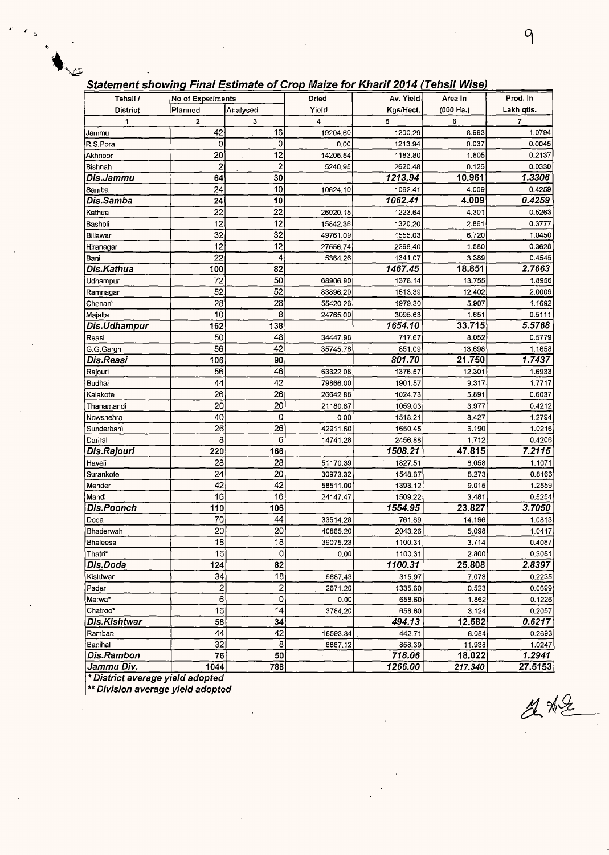#### **Statement showing Final Estimate of Crop Maize for Kharif 2014 (Tehsil Wise)**

| Tehsil /        | No of Experiments |                  | Dried    | Av. Yield | Area In   | Prod. In   |
|-----------------|-------------------|------------------|----------|-----------|-----------|------------|
| <b>District</b> | Planned           | Analysed         | Yield    | Kgs/Hect. | (000 Ha.) | Lakh qtls. |
| 1               | 2                 | 3                | 4        | 5         | 6         | 7          |
| Jammu           | 42                | 16               | 19204.60 | 1200.29   | 8.993     | 1.0794     |
| R.S.Pora        | 0                 | 0                | 0.00     | 1213.94   | 0.037     | 0.0045     |
| Akhnoor         | 20                | 12               | 14205.54 | 1183.80   | 1.805     | 0.2137     |
| Bishnah         | 2                 | $\overline{c}$   | 5240.95  | 2620.48   | 0.126     | 0.0330     |
| Dis.Jammu       | 64                | 30               |          | 1213.94   | 10.961    | 1.3306     |
| Samba           | 24                | 10               | 10624.10 | 1062.41   | 4.009     | 0.4259     |
| Dis.Samba       | 24                | 10               |          | 1062.41   | 4.009     | 0.4259     |
| Kathua          | 22                | $\overline{22}$  | 26920.15 | 1223.64   | 4.301     | 0.5263     |
| Basholi         | 12                | 12               | 15842,36 | 1320.20   | 2.861     | 0.3777     |
| Billawar        | 32                | 32               | 49761.09 | 1555.03   | 6.720     | 1.0450     |
| Hiranagar       | $\overline{12}$   | 12               | 27556.74 | 2296.40   | 1.580     | 0.3628     |
| Bani            | $\overline{22}$   | 4                | 5364.26  | 1341.07   | 3.389     | 0.4545     |
| Dis.Kathua      | 100               | 82               |          | 1467.45   | 18.851    | 2.7663     |
| Udhampur        | 72                | 50               | 68906.90 | 1378.14   | 13.755    | 1.8956     |
| Ramnagar        | 52                | 52               | 83896.20 | 1613.39   | 12.402    | 2.0009     |
| Chenani         | 28                | 28               | 55420.26 | 1979.30   | 5.907     | 1.1692     |
| Majalta         | 10                | 8                | 24765.00 | 3095.63   | 1.651     | 0.5111     |
| Dis.Udhampur    | 162               | 138              |          | 1654.10   | 33.715    | 5.5768     |
| Reasi           | 50                | 48               | 34447.98 | 717.67    | 8.052     | 0.5779     |
| G.G.Gargh       | 56                | 42               | 35745.76 | 851.09    | $-13.698$ | 1.1658     |
| Dis.Reasi       | 106               | 90               |          | 801.70    | 21,750    | 1.7437     |
| Rajouri         | 56                | 46               | 63322.08 | 1376.57   | 12.301    | 1.6933     |
| Budhal          | 44                | 42               | 79866.00 | 1901.57   | 9.317     | 1.7717     |
| Kalakote        | 26                | 26               | 26642.88 | 1024.73   | 5.891     | 0.6037     |
| Thanamandi      | 20                | 20               | 21180.67 | 1059.03   | 3.977     | 0.4212     |
| Nowshehra       | 40                | 0                | 0.00     | 1518.21   | 8.427     | 1.2794     |
| Sunderbani      | 26                | $\overline{26}$  | 42911.60 | 1650.45   | 6.190     | 1.0216     |
| Darhal          | 8                 | 6                | 14741.28 | 2456.88   | 1.712     | 0.4206     |
| Dis.Rajouri     | 220               | 166              |          | 1508.21   | 47.815    | 7.2115     |
| Haveli          | 28                | 28               | 51170.39 | 1827.51   | 6.058     | 1.1071     |
| Surankote       | 24                | 20               | 30973,32 | 1548.67   | 5.273     | 0.8166     |
| Mender          | 42                | 42               | 58511.00 | 1393.12   | 9.015     | 1.2559     |
| Mandi           | 16                | 16               | 24147.47 | 1509.22   | 3.481     | 0.5254     |
| Dis.Poonch      | 110               | 106              |          | 1554.95   | 23.827    | 3.7050     |
| Doda            | 70                | 44               | 33514.28 | 761.69    | 14.196    | 1.0813     |
| Bhaderwah       | 20                | 20               | 40865.20 | 2043.26   | 5.098     | 1.0417     |
| Bhaleesa        | $\overline{18}$   | $\overline{18}$  | 39075.23 | 1100.31   | 3.714     | 0.4087     |
| Thatri*         | 16                | 0                | 0.00     | 1100.31   | 2.800     | 0.3081     |
| Dis.Doda        | 124               | 82               |          | 1100.31   | 25.808    | 2.8397     |
| Kishtwar        | 34                | 18               | 5687.43  | 315.97    | 7.073     | 0.2235     |
| Pader           | 2                 | $\boldsymbol{2}$ | 2671.20  | 1335.60   | 0.523     | 0.0699     |
| Marwa*          | 6                 | $\mathbf 0$      | 0,00     | 658.60    | 1.862     | 0.1226     |
| Chatroo*        | 16                | 14               | 3784,20  | 658.60    | 3.124     | 0.2057     |
| Dis.Kishtwar    | 58                | 34               |          | 494.13    | 12.582    | 0.6217     |
| Ramban          | 44                | 42               | 18593.84 | 442.71    | 6.084     | 0.2693     |
| Banihal         | 32                | $\overline{8}$   | 6867.12  | 858.39    | 11.938    | 1.0247     |
| Dis.Rambon      | 76                | 50               | k,       | 718.06    | 18.022    | 1.2941     |
| Jammu Div.      | 1044              | 788              |          | 1266.00   | 217.340   | 27.5153    |

\* **District average yield adopted** 

 $\blacksquare$ 

\*\* **Division average yield adopted** 

*r*<sub>9</sub> *r*<sub>9</sub> *<i>r*</sup>*<i>r*<sub>9</sub> *<i>r<i><b>* 

 $242$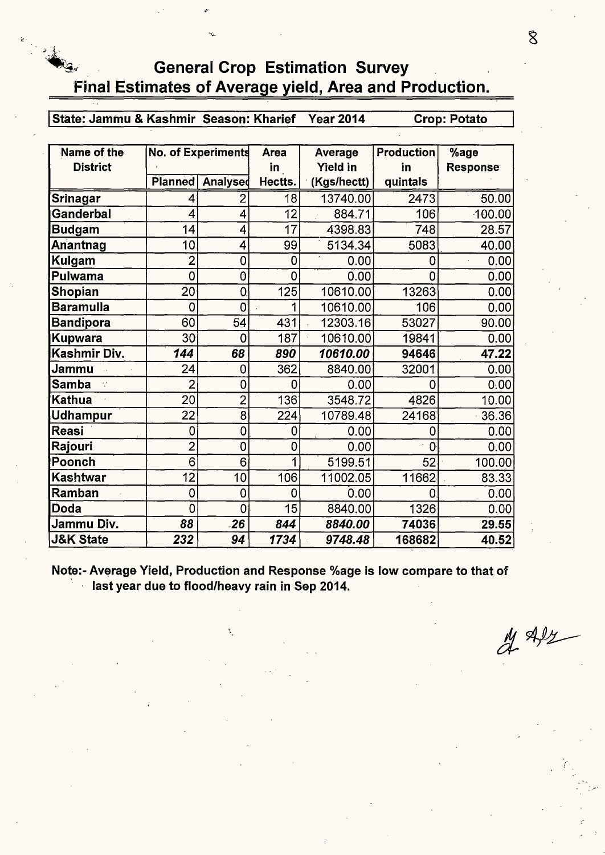## **General Crop Estimation Survey Final Estimates of Average yield, Area and Production.**

I **State: Jammu** & **Kashmir Season: Kharief Year 2014 Crop: Potato** 

| Name of the          | <b>No. of Experiments</b> |                  | <b>Area</b> | Average         | <b>Production</b> | %age            |
|----------------------|---------------------------|------------------|-------------|-----------------|-------------------|-----------------|
| <b>District</b>      |                           |                  | in          | <b>Yield in</b> | in                | <b>Response</b> |
|                      |                           | Planned Analysed | Hectts.     | (Kgs/hectt)     | quintals          |                 |
| Srinagar             |                           | 2                | 18          | 13740.00        | 2473              | 50.00           |
| Ganderbal            | 4                         | 4                | 12          | 884.71          | 106               | 100.00          |
| <b>Budgam</b>        | 14                        | 4                | 17          | 4398.83         | 748               | 28.57           |
| Anantnag             | 10                        | 4                | 99          | 5134.34         | 5083              | 40.00           |
| Kulgam               | $\overline{2}$            | 0                | 0           | 0.00            | 0                 | 0.00            |
| <b>Pulwama</b>       | $\overline{0}$            | 0                | 0           | 0.00            | 0                 | 0.00            |
| Shopian              | 20                        | $\overline{0}$   | 125         | 10610.00        | 13263             | 0.00            |
| <b>Baramulla</b>     | $\Omega$                  | 0                | 1           | 10610.00        | 106               | 0.00            |
| <b>Bandipora</b>     | 60                        | 54               | 431         | 12303.16        | 53027             | 90.00           |
| Kupwara              | 30                        | 0                | 187         | 10610.00        | 19841             | 0.00            |
| Kashmir Div.         | 144                       | 68               | 890         | 10610.00        | 94646             | 47.22           |
| Jammu                | 24                        | 0                | 362         | 8840.00         | 32001             | 0.00            |
| <b>Samba</b>         | 2                         | 0                | 0           | 0.00            | 0                 | 0:00            |
| <b>Kathua</b>        | 20                        | $\overline{2}$   | 136         | 3548.72         | 4826              | 10.00           |
| Udhampur             | 22                        | 8                | 224         | 10789.48        | 24168             | 36.36           |
| Reasi                | 0                         | 0                | 0           | 0.00            | 0                 | 0.00            |
| Rajouri              | $\overline{2}$            | 0                | 0           | 0.00            | $\overline{0}$    | 0.00            |
| Poonch               | 6                         | 6                | 1           | 5199.51         | 52                | 100.00          |
| Kashtwar             | 12                        | 10               | 106         | 11002.05        | 11662             | 83.33           |
| Ramban               | 0                         | 0                | 0           | 0.00            | 0                 | 0.00            |
| Doda                 | 0                         | 0                | 15          | 8840.00         | 1326              | 0.00            |
| Jammu Div.           | 88                        | $-26$            | 844         | 8840.00         | 74036             | 29.55           |
| <b>J&amp;K State</b> | 232                       | 94               | 1734        | 9748.48         | 168682            | 40.52           |

**Note:- Average Yield, Production and Response %age is low compare to that of** · **last year due to flood/heavy rain in Sep 2014.** 

 $\frac{1}{4}$  Alz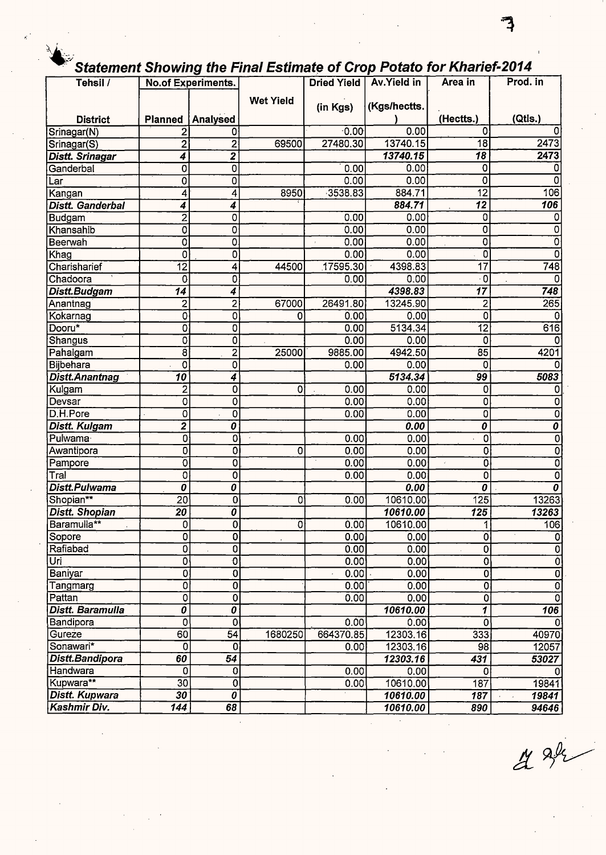# Statement Showing the Final Estimate of Crop Potato for Kharief-2014

| Tehsil /                |                  | ີ<br>No.of Experiments.          |                  | Dried Yield | <b>Av.Yield in</b> | Area in                                | Prod. in                  |
|-------------------------|------------------|----------------------------------|------------------|-------------|--------------------|----------------------------------------|---------------------------|
|                         |                  |                                  | <b>Wet Yield</b> |             |                    |                                        |                           |
|                         |                  |                                  |                  | (in Kgs)    | (Kgs/hectts.       |                                        |                           |
| <b>District</b>         |                  | Planned   Analysed               |                  |             |                    | (Hectts.)                              | (Qtis.)                   |
| Srinagar(N)             | 2                | 0                                |                  | $-0.00$     | 0.00               | Ω                                      |                           |
| Srinagar(S)             | $\overline{2}$   | $\overline{2}$                   | 69500            | 27480.30    | 13740.15           | $\overline{18}$                        | 2473                      |
| <b>Distt. Srinagar</b>  | 4                | $\overline{\mathbf{z}}$          |                  |             | 13740.15           | 18                                     | 2473                      |
| Ganderbal               | 0                | 0                                |                  | 0.00        | 0.00               | 0                                      |                           |
| Lar                     | 0                | 0                                |                  | 0.00        | 0.00               | 0                                      | 0                         |
| Kangan                  | 4                | 4                                | 8950             | 3538.83     | 884.71             | $\overline{12}$                        | 106                       |
| <b>Distt. Ganderbal</b> | 4                | 4                                |                  |             | 884.71             | $\overline{12}$                        | 106                       |
| Budgam                  | $\overline{a}$   | 0                                |                  | 0.00        | 0.00               | 0                                      | 0                         |
| Khansahib               | 0                | 0                                |                  | 0.00        | 0.00               | 0                                      | 0                         |
| Beerwah                 | 0                | $\overline{0}$                   |                  | 0.00        | 0.00               | 0                                      | 0                         |
| Khag                    | 0                | O                                |                  | 0.00        | 0.00               | 0                                      | 0                         |
| Charisharief            | $\overline{12}$  | 4                                | 44500            | 17595.30    | 4398.83            | $\overline{17}$                        | 748                       |
| Chadoora                | $\mathbf 0$      | 0                                |                  | 0.00        | 0.00               | $\overline{\cdot$ 0                    | $\Omega$                  |
| <b>Distt.Budgam</b>     | 14               | 4                                |                  |             | 4398.83            | $\overline{17}$                        | 748                       |
| Anantnag                | 2                | $\overline{c}$                   | 67000            | 26491.80    | 13245.90           | 2                                      | 265                       |
| Kokarnag                | 0                | 0                                | 0                | 0.00        | 0.00               | 0                                      |                           |
| Dooru*                  | 0                | 0                                |                  | 0.00        | 5134.34            | $\overline{12}$                        | 616                       |
| <b>Shangus</b>          | 0                | Ò                                |                  | 0.00        | 0.00               | 0                                      |                           |
| Pahalgam                | $\overline{8}$   | 2                                | 25000            | 9885.00     | 4942.50            | $\overline{85}$                        | 4201                      |
| <b>Bijbehara</b>        | ō                | 0                                |                  | 0.00        | 0.00               | 0                                      |                           |
| <b>Distt.Anantnag</b>   | $\overline{10}$  | 4                                |                  |             | 5134.34            | 99                                     | 5083                      |
| Kulgam                  | 2                | 0                                | 0                | 0.00        | 0.00               | 0                                      | 0                         |
| Devsar                  | $\mathbf 0$      | 0                                |                  | 0.00        | 0.00               | 0                                      | 0                         |
| D.H.Pore                | 0                | 0                                |                  | 0.00        | 0.00               | 0                                      | 0                         |
| <b>Distt. Kulgam</b>    | 2                | 0                                |                  |             | 0.00               | $\overline{\boldsymbol{\mathfrak{o}}}$ | 0                         |
| Pulwama                 | 0                | 0                                |                  | 0.00        | 0.00               | 0                                      | 0                         |
| Awantipora              | 0                | 0                                | 0                | 0.00        | 0.00               | 0                                      | 0                         |
| Pampore                 | O                | 0                                |                  | 0.00        | 0.00               | 0                                      | 0                         |
| Tral                    | 0                | Ó                                |                  | 0.00        | 0.00               | 0                                      | 0                         |
| Distt.Pulwama           | 0                | 0                                |                  |             | 0.00               | 0                                      | 0                         |
| Shopian**               | $\overline{20}$  | 0                                | 0                | 0.00        | 10610.00           | 125                                    | 13263                     |
| <b>Distt. Shopian</b>   | 20               | 0                                |                  |             | 10610.00           | 125                                    | 13263                     |
| Baramulla**             | $\mathbf 0$      | $\overline{0}$                   | 0                | 0.00        | 10610.00           | 1                                      | 106                       |
| Sopore                  | $\overline{0}$   | $\overline{\mathbf{0}}$          |                  | 0.00        | 0.00               | Ō                                      | $\overline{0}$            |
| Rafiabad                | 0                | 0                                |                  | 0.00        | 0.00               | $\mathbf{0}$                           | $\overline{\mathfrak{o}}$ |
| Uri                     | $\overline{0}$   | $\overline{\mathfrak{o}}$        |                  | 0.00        | 0.00               | $\overline{\mathbf{0}}$                | $\overline{0}$            |
| Baniyar                 | ō                | 0                                |                  | 0.00        | 0.00               | $\overline{0}$                         | $\overline{\mathfrak{o}}$ |
| Tangmarg                | 0                | 0                                |                  | 0.00        | 0.00               | $\overline{\mathfrak{o}}$              | $\overline{\mathfrak{o}}$ |
| Pattan                  | $\overline{0}$   | 0                                |                  | 0.00        | 0.00               | $\overline{\mathbf{0}}$                | $\overline{\mathfrak{o}}$ |
| <b>Distt. Baramulla</b> | Ō                | $\overline{\boldsymbol{\theta}}$ |                  |             | 10610.00           | 1                                      | $\overline{106}$          |
| Bandipora               | $\overline{0}$   | $\overline{0}$                   |                  | 0.00        | 0.00               | 0                                      |                           |
| Gureze                  | $\overline{60}$  | $\overline{54}$                  | 1680250          | 664370.85   | 12303.16           | 333                                    | 40970                     |
| Sonawari*               | $\overline{0}$   | 0                                |                  | 0.00        | 12303.16           | 98                                     | 12057                     |
| Distt.Bandipora         | 60               | 54                               |                  |             | 12303.16           | 431                                    | 53027                     |
| Handwara                | $\overline{0}$   | 0                                |                  | 0.00        | 0.00               | $\mathbf 0$                            |                           |
| Kupwara**               | $\overline{30}$  | Ō                                |                  | 0.00        | 10610.00           | 187                                    | 19841                     |
| <b>Distt. Kupwara</b>   | $\overline{30}$  | $\overline{\boldsymbol{\theta}}$ |                  |             | 10610.00           | 187                                    | 19841                     |
| Kashmir Div.            | $\overline{144}$ | 68                               |                  |             | 10610.00           | 890                                    | 94646                     |

 $42$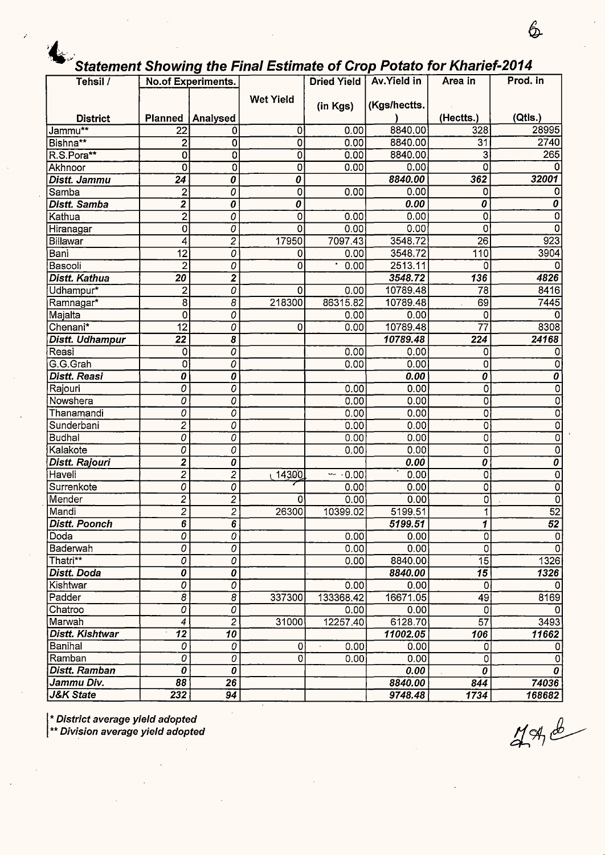## **\*\*\*** Statement Showing the Final Estimate of Crop Potato for Kharief-2014

| Tehsil /             | ----                             | <b>No.of Experiments.</b>        |                  |           | Dried Yield   Av. Yield in | Area in         | Prod. in                  |
|----------------------|----------------------------------|----------------------------------|------------------|-----------|----------------------------|-----------------|---------------------------|
|                      |                                  |                                  | <b>Wet Yield</b> |           |                            |                 |                           |
|                      |                                  |                                  |                  | (in Kgs)  | (Kgs/hectts.               |                 |                           |
| <b>District</b>      |                                  | Planned   Analysed               |                  |           |                            | (Hectts.)       | (Qtls.)                   |
| Jammu**              | 22                               | 0                                | 0                | 0.00      | 8840.00                    | 328             | 28995                     |
| Bishna**             | $\overline{\mathbf{2}}$          | 0                                | 0                | 0.00      | 8840.00                    | 31              | 2740                      |
| R.S.Pora**           | 0                                | 0                                | 0                | 0.00      | 8840.00                    | 3               | 265                       |
| Akhnoor              | $\overline{0}$                   | 0                                | 0                | 0.00      | 0.00                       | 0               |                           |
| <b>Distt. Jammu</b>  | 24                               | 0                                | 0                |           | 8840.00                    | 362             | 32001                     |
| Samba                | 2                                | 0                                | 0                | 0.00      | 0.00                       | 0               |                           |
| <b>Distt. Samba</b>  | $\overline{2}$                   | 0                                | 0                |           | 0.00                       | 0               | 0                         |
| Kathua               | $\overline{2}$                   | 0                                | 0                | 0.00      | 0.00                       | 0               | 0                         |
| Hiranagar            | 0                                | 0                                | 0                | 0.00      | 0.00                       | 0               | n                         |
| Billawar             | 4                                | $\overline{2}$                   | 17950            | 7097.43   | 3548.72                    | 26              | 923                       |
| Bani                 | $\overline{12}$                  | $\overline{o}$                   | 0                | 0.00      | 3548.72                    | 110             | 3904                      |
| Basooli              | $\overline{2}$                   | $\overline{0}$                   | 0                | 0.00      | 2513.11                    | 0               |                           |
| Distt. Kathua        | $\overline{20}$                  | $\overline{2}$                   |                  |           | 3548.72                    | 136             | 4826                      |
| Udhampur*            | $\overline{c}$                   | $\overline{0}$                   | 0                | 0.00      | 10789.48                   | 78              | 8416                      |
| Ramnagar*            | $\overline{8}$                   | 8                                | 218300           | 86315.82  | 10789.48                   | 69              | 7445                      |
| Majalta              | $\overline{0}$                   | 0                                |                  | 0.00      | 0.00                       | $\mathbf 0$     |                           |
| Chenani*             | $\overline{12}$                  | 0                                | 0                | 0.00      | 10789.48                   | 77              | 8308                      |
| Distt. Udhampur      | $\overline{22}$                  | 8                                |                  |           | 10789.48                   | 224             | 24168                     |
| Reasi                | $\mathbf 0$                      | 0                                |                  | 0.00      | 0.00                       | 0               |                           |
| G.G.Grah             | $\mathbf{O}$                     | Ő                                |                  | 0.00      | 0.00                       | 0               | 0                         |
| <b>Distt. Reasi</b>  | 0                                | $\overline{\boldsymbol{\theta}}$ |                  |           | 0.00                       | 0               | $\overline{0}$            |
| Rajouri              | 0                                | 0                                |                  | 0.00      | 0.00                       | Ő               | 0                         |
| Nowshera             | 0                                | 0                                |                  | 0.00      | 0.00                       | 0               | $\overline{0}$            |
| Thanamandi           | 0                                | 0                                |                  | 0.00      | 0.00                       | $\overline{0}$  | ō                         |
| Sunderbani           | $\overline{2}$                   | 0                                |                  | 0.00      | 0.00                       | $\mathbf 0$     | $\overline{0}$            |
| <b>Budhal</b>        | 0                                | 0                                |                  | 0.00      | 0.00                       | $\mathbf 0$     | $\overline{0}$            |
| Kalakote             | 0                                | 0                                |                  | 0.00      | 0.00                       | $\overline{0}$  | $\overline{\mathfrak{o}}$ |
| Distt. Rajouri       | $\mathbf{z}$                     | 0                                |                  |           | 0.00                       | 0               | $\overline{\mathfrak{o}}$ |
| Haveli               | $\overline{c}$                   | $\overline{2}$                   | 14300            | $-0.00$   | 0.00                       | 0               | 0                         |
| Surrenkote           | 0                                | 0                                |                  | 0.00      | 0.00                       | 0               | $\overline{0}$            |
| Mender               | $\overline{c}$                   | 2                                | 0                | 0.00      | 0.00                       | 0               | $\overline{0}$            |
| Mandi                | $\overline{c}$                   | $\overline{2}$                   | 26300            | 10399.02  | 5199.51                    | 1               | $\overline{52}$           |
| Distt. Poonch        | $6\overline{6}$                  | $\overline{6}$                   |                  |           | 5199.51                    | $\mathbf{I}$    | $\overline{52}$           |
| Doda                 | 0                                | 0                                |                  | 0.00      | 0.00                       | 0               | $\mathbf 0$               |
| Baderwah             | 0                                | 0                                |                  | 0.00      | 0.00                       | 0               | $\Omega$                  |
| Thatri**             | $\overline{o}$                   | 0                                |                  | 0.00      | 8840.00                    | $\overline{15}$ | 1326                      |
| Distt. Doda          | 0                                | Ó                                |                  |           | 8840.00                    | $\overline{15}$ | 1326                      |
| Kishtwar             | 0                                | 0                                |                  | 0.00      | 0.00                       | $\mathbf 0$     | $\Omega$                  |
| Padder               | $\overline{s}$                   | $\overline{8}$                   | 337300           | 133368.42 | 16671.05                   | 49              | 8169                      |
| Chatroo              | $\overline{o}$                   | $\overline{0}$                   |                  | 0.00      | 0.00                       | $\mathbf 0$     | <sup>0</sup>              |
| Marwah               | $\boldsymbol{4}$                 | $\overline{2}$                   | 31000            | 12257.40  | 6128.70                    | $\overline{57}$ | 3493                      |
| Distt. Kishtwar      | $\overline{12}$                  | $\overline{10}$                  |                  |           | 11002.05                   | 106             | 11662                     |
| Banihal              | 0                                | 0                                | 0                | 0.00      | 0.00                       | 0               | 0                         |
| Ramban               | $\overline{o}$                   | $\overline{o}$                   | 0                | 0.00      | 0.00                       | 0               | $\mathbf 0$               |
| <b>Distt. Ramban</b> | $\overline{\boldsymbol{\theta}}$ | $\overline{\boldsymbol{\theta}}$ |                  |           | 0.00                       | 0               | $\boldsymbol{0}$          |
| Jammu Div.           | 88                               | 26                               |                  |           | 8840.00                    | 844             | 74036                     |
| <b>J&amp;K State</b> | 232                              | 94                               |                  |           | 9748.48                    | 1734            | 168682                    |

I \* **District average yield adopted** 

\*\* **Division average yield adopted** 

 $796$ 

 $6\hspace{-1.45pt}$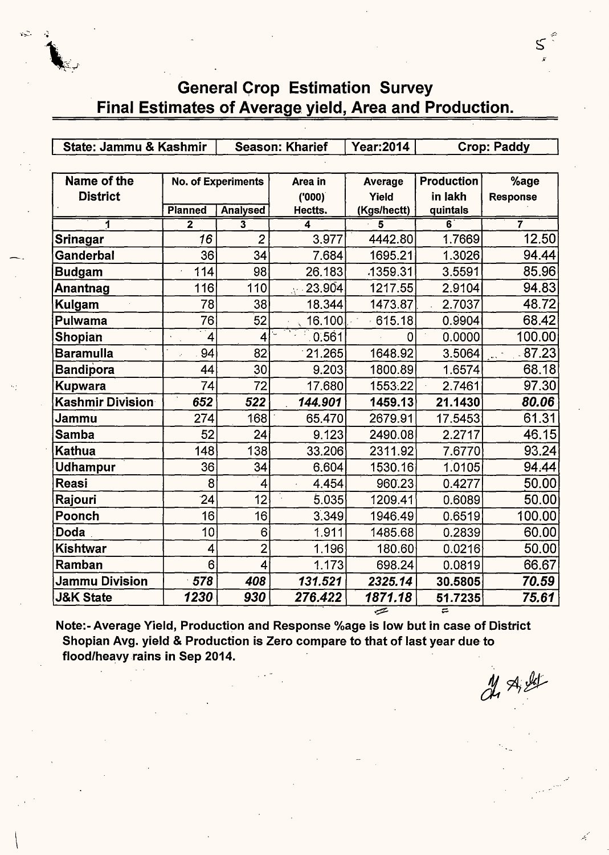$\sum_{i=1}^n$ 

*..* ..;:. ,.;

# General Grop Estimation Survey Final Estimates of Average yield, Area and Production.

| State: Jammu & Kashmir        |                |                    | <b>Season: Kharief</b> | <b>Year:2014</b> |                   | <b>Crop: Paddy</b> |
|-------------------------------|----------------|--------------------|------------------------|------------------|-------------------|--------------------|
|                               |                |                    |                        |                  |                   |                    |
| Name of the                   |                | No. of Experiments | Area in                | Average          | <b>Production</b> | %age               |
| <b>District</b>               |                |                    | (000)                  | Yield            | in lakh           | <b>Response</b>    |
|                               | <b>Planned</b> | <b>Analysed</b>    | Hectts.                | (Kgs/hectt)      | quintals          |                    |
| 1                             | $\overline{2}$ | 3                  | 4                      | 5                | 6                 | 7                  |
| Srinagar                      | 16             | $\overline{2}$     | 3.977                  | 4442.80          | 1.7669            | 12.50              |
| <b>Ganderbal</b>              | 36             | 34                 | 7.684                  | 1695.21          | 1.3026            | 94.44              |
| <b>Budgam</b>                 | 114            | 98                 | 26.183                 | 1359.31          | 3.5591            | 85.96              |
| Anantnag                      | 116            | 110                | 23.904<br>A13          | 1217.55          | 2.9104            | 94.83              |
| Kulgam                        | 78             | 38                 | 18.344                 | 1473.87          | 2.7037            | 48.72              |
| <b>Pulwama</b>                | 76             | 52                 | 16.100                 | 615.18           | 0.9904            | 68.42              |
| Shopian                       | 4              | 4                  | 0.561                  | 0                | 0.0000            | 100.00             |
| Baramulla                     | 94             | 82                 | 21.265                 | 1648.92          | 3.5064            | $-87.23$           |
| <b>Bandipora</b>              | 44             | 30                 | 9.203                  | 1800.89          | 1.6574            | 68.18              |
| Kupwara                       | 74             | 72                 | 17.680                 | 1553.22          | 2.7461            | 97.30              |
| Kashmir Division <sup>.</sup> | 652            | 522                | 144.901                | 1459.13          | 21.1430           | 80.06              |
| <b>Jammu</b>                  | 274            | 168                | 65.470                 | 2679.91          | 17.5453           | 61.31              |
| <b>Samba</b>                  | 52             | 24                 | 9.123                  | 2490.08          | 2.2717            | 46.15              |
| Kathua                        | 148            | 138                | 33.206                 | 2311.92          | 7.6770            | 93.24              |
| <b>Udhampur</b>               | 36             | 34                 | 6.604                  | 1530.16          | 1.0105            | 94.44              |
| Reasi                         | 8              | 4                  | 4.454                  | 960.23           | 0.4277            | 50.00              |
| Rajouri                       | 24             | 12                 | 5.035                  | 1209.41          | 0.6089            | 50.00              |
| Poonch                        | 16             | 16                 | 3.349                  | 1946.49          | 0.6519            | 100.00             |
| Doda                          | 10             | 6                  | 1.911                  | 1485.68          | 0.2839            | 60.00              |
| <b>Kishtwar</b>               | 4              | $\overline{2}$     | 1.196                  | 180.60           | 0.0216            | 50.00              |
| Ramban                        | 6              | 4                  | 1.173                  | 698.24           | 0.0819            | 66.67              |
| Jammu Division                | 578            | 408                | 131.521                | 2325.14          | 30.5805           | 70.59              |
| <b>J&amp;K State</b>          | 1230           | 930                | 276.422                | 1871.18          | 51.7235           | 75.61              |

Note:- Average Yield, Production and Response %age is low but in case of District Shopian Avg. yield & Production is Zero compare to that of last year due to flood/heavy rains in Sep 2014.

 $x$   $x$   $y$ 

 $\mathsf{S}$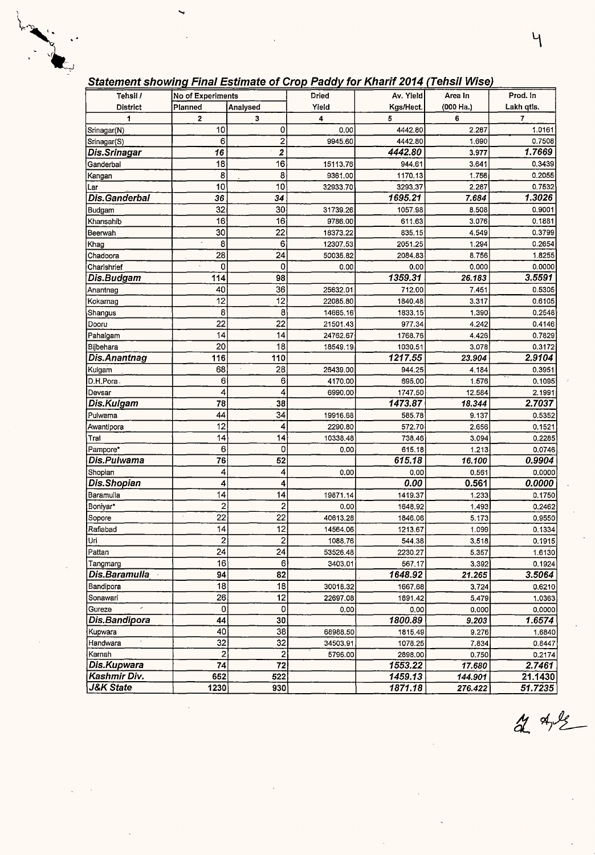### **Statement showing Final Estimate of Crop Paddy for Kharif 2014 (Tehsil Wise)**

| Tehsil /        | No of Experiments |                         | Dried    | Av. Yield | Area In   | Prod. In   |
|-----------------|-------------------|-------------------------|----------|-----------|-----------|------------|
| <b>District</b> | Planned           | Analysed                | Yield    | Kgs/Hect. | (000 Ha.) | Lakh qtis. |
|                 | 2                 | 3                       | 4        | 5         | 6         | 7          |
| Srinagar(N)     | 10                | 0                       | 0.00     | 4442.80   | 2.287     | 1.0161     |
| Srinagar(S)     | 6                 | $\overline{2}$          | 9945.60  | 4442.80   | 1.690     | 0.7508     |
| Dis.Srinagar    | $\overline{16}$   | $\overline{\mathbf{c}}$ |          | 4442.80   | 3.977     | 1.7669     |
| Ganderbal       | 18                | 16                      | 15113.76 | 944.61    | 3.641     | 0.3439     |
| Kangan          | 8                 | 8                       | 9361.00  | 1170.13   | 1.756     | 0.2055     |
| Lar             | 10                | 10                      | 32933.70 | 3293.37   | 2.287     | 0.7532     |
| Dis.Ganderbal   | 36                | 34                      |          | 1695.21   | 7.684     | 1.3026     |
| Budgam          | 32                | 30                      | 31739.26 | 1057.98   | 8.508     | 0.9001     |
| Khansahib       | 16                | 16                      | 9786.00  | 611.63    | 3.076     | 0.1881     |
| Beerwah         | 30                | 22                      | 18373.22 | 835.15    | 4.549     | 0.3799     |
| Khag            | 8                 | 6                       | 12307.53 | 2051.25   | 1.294     | 0.2654     |
| Chadoora        | 28                | 24                      | 50035.82 | 2084.83   | 8.756     | 1.8255     |
| Charishrief     | 0<br>$\epsilon$   | 0                       | 0.00     | 0.00      | 0.000     | 0.0000     |
| Dis.Budgam      | 114               | 98                      |          | 1359.31   | 26.183    | 3.5591     |
| Anantnag        | 40                | 36                      | 25632.01 | 712.00    | 7.451     | 0.5305     |
| Kokarnag        | 12                | 12                      | 22085.80 | 1840.48   | 3.317     | 0.6105     |
| Shangus         | 8                 | 8                       | 14665.16 | 1833.15   | 1.390     | 0.2548     |
| Dooru           | 22                | 22                      | 21501.43 | 977.34    | 4.242     | 0.4146     |
| Pahalgam        | 14                | 14                      | 24762.67 | 1768.76   | 4.426     | 0.7829     |
| Bijbehara       | 20                | 18                      | 18549.19 | 1030.51   | 3.078     | 0.3172     |
| Dis.Anantnag    | 116               | 110                     |          | 1217.55   | 23.904    | 2.9104     |
| Kulgam          | 68                | 28                      | 26439.00 | 944.25    | 4.184     | 0.3951     |
| D.H.Pora        | 6                 | 6                       | 4170.00  | 695.00    | 1.576     | 0.1095     |
| Devsar          | 4                 | 4                       | 6990.00  | 1747.50   | 12.584    | 2.1991     |
| Dis.Kulgam      | 78                | 38                      |          | 1473.87   | 18.344    | 2.7037     |
| Pulwama         | 44                | 34                      | 19916.68 | 585.78    | 9.137     | 0.5352     |
| Awantipora      | 12                | 4                       | 2290.80  | 572.70    | 2.656     | 0.1521     |
| Trai            | 14                | 14                      | 10338.48 | 738.46    | 3.094     | 0.2285     |
| Pampore*        | 6                 | 0                       | 0.00     | 615.18    | 1.213     | 0.0746     |
| Dis.Pulwama     | 76                | 52                      |          | 615.18    | 16.100    | 0.9904     |
| Shopian         | 4                 | 4                       | 0.00     | 0.00      | 0.561     | 0.0000     |
| Dis.Shopian     | 4                 | 4                       |          | 0.00      | 0.561     | 0.0000     |
| Baramulla       | 14                | 14                      | 19871.14 | 1419.37   | 1.233     | 0.1750     |
| Boniyar*        | $\overline{c}$    | $\overline{\mathbf{c}}$ | 0.00     | 1648.92   | 1.493     | 0.2462     |
| Sopore          | $\overline{22}$   | $\overline{22}$         | 40613.28 | 1846.06   | 5.173     | 0.9550     |
| Rafiabad        | 14                | 12                      | 14564.06 | 1213.67   | 1.099     | 0.1334     |
| Uri             | $\overline{2}$    | $\overline{2}$          | 1088.76  | 544.38    | 3.518     | 0.1915     |
| Pattan          | 24                | 24                      | 53526.48 | 2230.27   | 5.357     | 1.6130     |
| Tangmarg        | 16                | 6 <sup>1</sup>          | 3403.01  | 567.17    | 3.392     | 0.1924     |
| Dis.Baramulla   | 94                | 82                      |          | 1648.92   | 21.265    | 3.5064     |
| Bandipora       | 18                | 18                      | 30018.32 | 1667.68   | 3.724     | 0.6210     |
| Sonawari        | 26                | $\overline{12}$         | 22697.08 | 1891.42   | 5.479     | 1.0363     |
| Gureze          | 0                 | $\mathbf 0$             | 0.00     | 0.00      | 0.000     | 0.0000     |
| Dis.Bandipora   | 44                | 30                      |          | 1800.89   | 9.203     | 1.6574     |
| Kupwara         | 40                | 38                      | 68988,50 | 1815.49   | 9.276     | 1.6840     |
| Handwara        | 32                | 32                      | 34503.91 | 1078.25   | 7.834     | 0.8447     |
| Karnah          | 2                 | $\overline{2}$          | 5796.00  | 2898.00   | 0.750     | 0.2174     |
| Dis.Kupwara     | 74                | 72                      |          | 1553.22   | 17.680    | 2.7461     |
| Kashmir Div.    | 652               | 522                     |          | 1459.13   | 144.901   | 21.1430    |
| J&K State       | 1230              | 930                     |          | 1871.18   | 276.422   | 51.7235    |

 $242$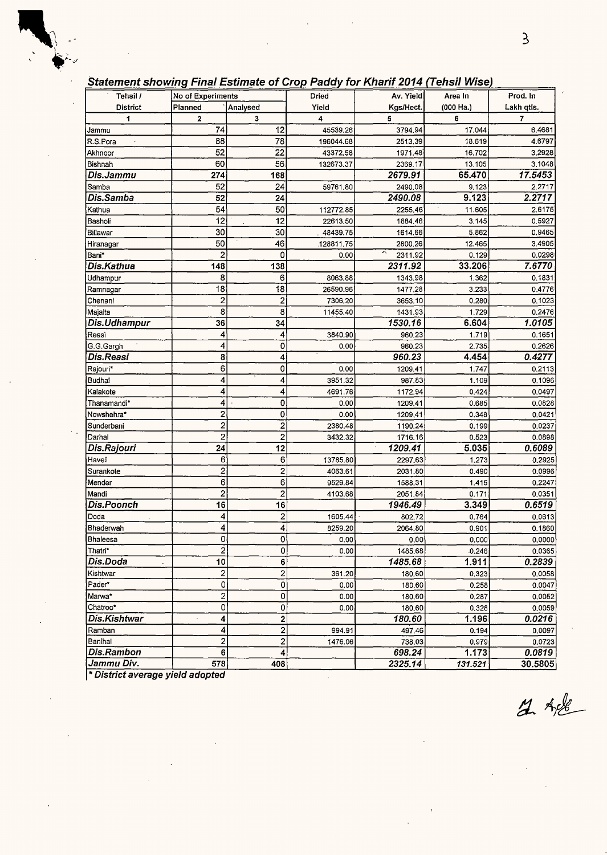|  |  |  |  |  |  |  | Statement showing Final Estimate of Crop Paddy for Kharif 2014 (Tehsil Wise) |  |
|--|--|--|--|--|--|--|------------------------------------------------------------------------------|--|
|--|--|--|--|--|--|--|------------------------------------------------------------------------------|--|

| $\sim$ . The contract of the computer of the computation of the contract of the contract of $\sim$ |                          |                         |            |              |           |            |
|----------------------------------------------------------------------------------------------------|--------------------------|-------------------------|------------|--------------|-----------|------------|
| Tehsil /                                                                                           | <b>No of Experiments</b> |                         | Dried      | Av. Yield    | Area In   | Prod. In   |
| <b>District</b>                                                                                    | Planned                  | Analysed                | Yield      | Kgs/Hect.    | (000 Ha.) | Lakh qtls. |
| 1                                                                                                  | 2                        | 3                       | 4          | 5            | 6         | 7          |
| Jammu                                                                                              | 74                       | 12                      | 45539.26   | 3794.94      | 17.044    | 6.4681     |
| R.S.Pora                                                                                           | 88                       | 78                      | 196044.68  | 2513,39      | 18.619    | 4.6797     |
| Akhnoor                                                                                            | 52                       | 22                      | 43372.58   | 1971.48      | 16.702    | 3,2928     |
| Bishnah                                                                                            | 60                       | 56                      | 132673.37  | 2369.17      | 13.105    | 3.1048     |
| Dis.Jammu                                                                                          | 274                      | 168                     |            | 2679.91      | 65.470    | 17.5453    |
| Samba                                                                                              | 52                       | 24                      | 59761.80   | 2490.08      | 9.123     | 2.2717     |
| Dis.Samba                                                                                          | 52                       | 24                      |            | 2490.08      | 9.123     | 2.2717     |
| Kathua                                                                                             | 54                       | 50                      | 112772.85  | 2255,46      | 11.605    | 2.6175     |
| Basholi                                                                                            | 12                       | 12                      | 22613.50   | 1884.46      | 3.145     | 0.5927     |
| Billawar                                                                                           | 30                       | 30                      | 48439.75   | 1614.66      | 5.862     | 0.9465     |
| Hiranagar                                                                                          | 50                       | 46                      | .128811.75 | 2800.26      | 12.465    | 3.4905     |
| Bani*                                                                                              | $\overline{c}$           | 0                       | 0.00       | Ā<br>2311.92 | 0.129     | 0.0298     |
| Dis.Kathua                                                                                         | 148                      | 138                     |            | 2311.92      | 33.206    | 7.6770     |
| Udhampur                                                                                           | 8                        | 6                       | 8063.88    | 1343.98      | 1.362     | 0.1831     |
| Ramnagar                                                                                           | 18                       | 18                      | 26590.96   | 1477,28      | 3.233     | 0.4776     |
| Chenani                                                                                            | 2                        | 2                       | 7306.20    | 3653.10      | 0.280     | 0.1023     |
| Majalta                                                                                            | 8                        | 8                       | 11455.40   | 1431.93      | 1.729     | 0.2476     |
| Dis.Udhampur                                                                                       | 36                       | 34                      |            | 1530.16      | 6.604     | 1.0105     |
| Reasi                                                                                              | 4                        | 4                       | 3840.90    | 960,23       | 1.719     | 0.1651     |
| G.G.Gargh                                                                                          | 4                        | 0                       | 0.00       | 960.23       | 2.735     | 0.2626     |
| Dis.Reasi                                                                                          | 8                        | 4                       |            | 960.23       | 4.454     | 0.4277     |
| Rajouri*                                                                                           | 6                        | 0                       | 0.00       | 1209.41      | 1.747     | 0.2113     |
| Budhal                                                                                             | 4                        | 4                       | 3951.32    | 987.83       | 1.109     | 0.1096     |
| Kalakote                                                                                           | 4                        | 4                       | 4691.76    | 1172.94      | 0.424     | 0.0497     |
| Thanamandi*                                                                                        | 4                        | 0                       | 0.00       | 1209.41      | 0.685     | 0.0828     |
| Nowshehra*                                                                                         | 2                        | 0                       | 0.00       | 1209,41      | 0.348     | 0.0421     |
| Sunderbani                                                                                         | $\overline{c}$           | $\overline{c}$          | 2380.48    | 1190,24      | 0.199     | 0.0237     |
| Darhal                                                                                             | $\overline{c}$           | $\overline{c}$          | 3432.32    | 1716.16      | 0.523     | 0.0898     |
| Dis.Rajouri                                                                                        | 24                       | 12                      |            | 1209.41      | 5.035     | 0.6089     |
| Haveli                                                                                             | 6                        | 6                       | 13785.80   | 2297.63      | 1.273     | 0.2925     |
| Surankote                                                                                          | $\overline{2}$           | 2                       | 4063.61    | 2031.80      | 0.490     | 0.0996     |
| Mender                                                                                             | 6                        | 6                       | 9529.84    | 1588.31      | 1.415     | 0.2247     |
| Mandi                                                                                              | 2                        | 2                       | 4103.68    | 2051.84      | 0.171     | 0.0351     |
| <b>Dis.Poonch</b>                                                                                  | 16                       | 16                      |            | 1946.49      | 3.349     | 0.6519     |
| Doda                                                                                               | 4                        | $\overline{\mathbf{c}}$ | 1605.44    | 802.72       | 0.764     | 0.0613     |
| Bhaderwah                                                                                          | 4                        | 4                       | 8259.20    | 2064.80      | 0.901     | 0.1860     |
| Bhaleesa                                                                                           | 0                        | 0                       | 0.00       | 0.00         | 0.000     | 0.0000     |
| Thatri*                                                                                            | $\overline{2}$           | 0                       | 0.00       | 1485.68      | 0.246     | 0.0365     |
| Dis.Doda                                                                                           | 10                       | 6                       |            | 1485.68      | 1.911     | 0.2839     |
| Kishtwar                                                                                           | 2                        | 2                       | 361.20     | 180.60       | 0.323     | 0.0058     |
| Pader*                                                                                             | 0                        | 0                       | 0.00       | 180.60       | 0.258     | 0.0047     |
| Marwa*                                                                                             | $\overline{\mathbf{c}}$  | 0                       | 0.00       | 180.60       | 0.287     | 0.0052     |
| Chatroo*                                                                                           | 0                        | 0                       | 0.00       | 180.60       | 0.328     | 0.0059     |
| <b>Dis.Kishtwar</b>                                                                                | 4                        | 2                       |            | 180.60       | 1.196     | 0.0216     |
| Ramban                                                                                             | 4                        | $\overline{2}$          | 994.91     | 497.46       | 0.194     | 0.0097     |
| Banihal                                                                                            | 2                        | $\overline{2}$          | 1476.06    | 738.03       | 0.979     | 0.0723     |
| Dis.Rambon                                                                                         | 6                        | 4                       |            | 698.24       | 1.173     | 0.0819     |
| Jammu Div.                                                                                         | 578                      | 408                     |            | 2325.14      | 131.521   | 30.5805    |

 $\hat{\boldsymbol{\gamma}}$ 

\* **District average yield adopted** 

 $2.48$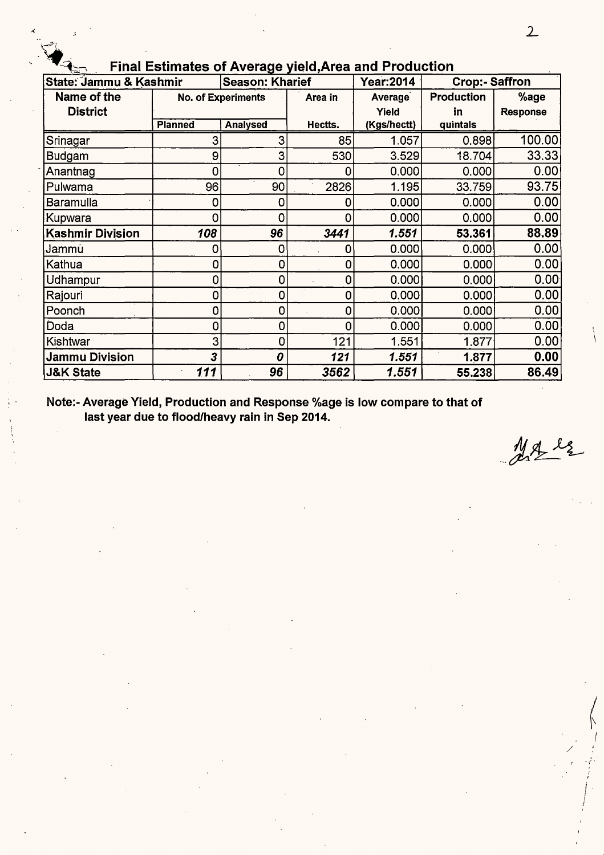|                         | <b>Final Estimates of Average yield, Area and Production</b> |                           |             |                  |                       |                   |  |  |  |  |  |  |
|-------------------------|--------------------------------------------------------------|---------------------------|-------------|------------------|-----------------------|-------------------|--|--|--|--|--|--|
| State: Jammu & Kashmir  |                                                              | <b>Season: Kharief</b>    |             | <b>Year:2014</b> | <b>Crop:- Saffron</b> |                   |  |  |  |  |  |  |
| Name of the             |                                                              | <b>No. of Experiments</b> | Area in     | <b>Average</b>   | <b>Production</b>     | %age              |  |  |  |  |  |  |
| <b>District</b>         |                                                              |                           |             | Yield            | in                    | <b>Response</b>   |  |  |  |  |  |  |
|                         | <b>Planned</b>                                               | <b>Analysed</b>           | Hectts.     | (Kgs/hectt)      | quintals              |                   |  |  |  |  |  |  |
| Srinagar                | 3                                                            | 3                         | 85          | 1.057            | 0.898                 | 100.00            |  |  |  |  |  |  |
| Budgam                  | 9                                                            | 3                         | 530         | 3.529            | 18.704                | 33.33             |  |  |  |  |  |  |
| Anantnag                | 0                                                            | 0                         | 0           | 0.000            | 0.000                 | 0.00              |  |  |  |  |  |  |
| Pulwama                 | 96                                                           | 90                        | 2826        | 1.195            | 33.759                | 93.75             |  |  |  |  |  |  |
| Baramulla               | 0                                                            | 0                         |             | 0.000            | 0.000                 | 0.00              |  |  |  |  |  |  |
| Kupwara                 | 0                                                            | 0                         |             | 0.000            | 0.000                 | 0.00              |  |  |  |  |  |  |
| <b>Kashmir Division</b> | 108                                                          | 96                        | 3441        | 1.551            | 53.361                | 88.89             |  |  |  |  |  |  |
| Jammu                   | 0                                                            | 0                         | 0           | 0.000            | 0.000                 | 0.00              |  |  |  |  |  |  |
| Kathua                  | 0                                                            | $\mathbf 0$               | 0           | 0.000            | 0.000                 | 0.00              |  |  |  |  |  |  |
| Udhampur                | 0                                                            | $\mathbf 0$               | 0           | 0.000            | 0.000                 | 0.00 <sub>1</sub> |  |  |  |  |  |  |
| Rajouri                 | 0                                                            | 0                         | 0           | 0.000            | 0.000                 | 0.00              |  |  |  |  |  |  |
| Poonch                  | 0                                                            | 0                         | 0           | 0.000            | 0.000                 | 0.00              |  |  |  |  |  |  |
| Doda                    | 0                                                            | 0                         | $\mathbf 0$ | 0.000            | 0.000                 | 0.00              |  |  |  |  |  |  |
| Kishtwar                | 3                                                            | 0                         | 121         | 1.551            | 1.877                 | 0.00              |  |  |  |  |  |  |
| Jammu Division          | 3                                                            | 0                         | 121         | 1.551            | 1.877                 | 0.00              |  |  |  |  |  |  |
| <b>J&amp;K State</b>    | 111                                                          | 96                        | 3562        | 1.551            | 55.238                | 86.49             |  |  |  |  |  |  |

**Note:- Average Yield, Production and Response %age is low compare to that of last year due to flood/heavy rain in Sep 2014.** 

Male

' I \

/  $I = \frac{1}{2}$ 

> I i *I*  ,